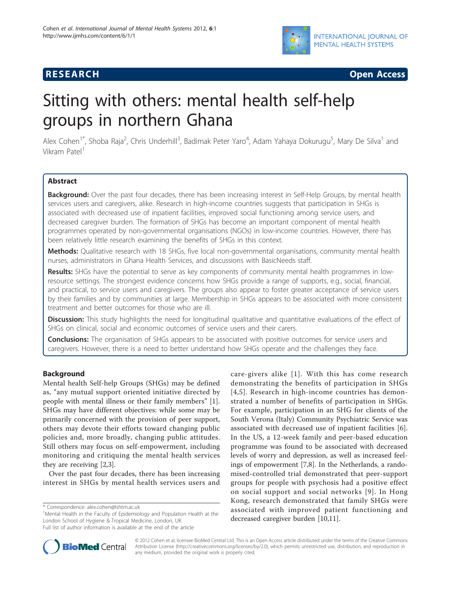



# Sitting with others: mental health self-help groups in northern Ghana

Alex Cohen<sup>1\*</sup>, Shoba Raja<sup>2</sup>, Chris Underhill<sup>3</sup>, Badimak Peter Yaro<sup>4</sup>, Adam Yahaya Dokurugu<sup>5</sup>, Mary De Silva<sup>1</sup> and Vikram Patel<sup>1</sup>

# Abstract

Background: Over the past four decades, there has been increasing interest in Self-Help Groups, by mental health services users and caregivers, alike. Research in high-income countries suggests that participation in SHGs is associated with decreased use of inpatient facilities, improved social functioning among service users, and decreased caregiver burden. The formation of SHGs has become an important component of mental health programmes operated by non-governmental organisations (NGOs) in low-income countries. However, there has been relatively little research examining the benefits of SHGs in this context.

Methods: Qualitative research with 18 SHGs, five local non-governmental organisations, community mental health nurses, administrators in Ghana Health Services, and discussions with BasicNeeds staff.

Results: SHGs have the potential to serve as key components of community mental health programmes in lowresource settings. The strongest evidence concerns how SHGs provide a range of supports, e.g., social, financial, and practical, to service users and caregivers. The groups also appear to foster greater acceptance of service users by their families and by communities at large. Membership in SHGs appears to be associated with more consistent treatment and better outcomes for those who are ill.

Discussion: This study highlights the need for longitudinal qualitative and quantitative evaluations of the effect of SHGs on clinical, social and economic outcomes of service users and their carers.

**Conclusions:** The organisation of SHGs appears to be associated with positive outcomes for service users and caregivers. However, there is a need to better understand how SHGs operate and the challenges they face.

# Background

Mental health Self-help Groups (SHGs) may be defined as, "any mutual support oriented initiative directed by people with mental illness or their family members" [\[1](#page-7-0)]. SHGs may have different objectives: while some may be primarily concerned with the provision of peer support, others may devote their efforts toward changing public policies and, more broadly, changing public attitudes. Still others may focus on self-empowerment, including monitoring and critiquing the mental health services they are receiving [[2](#page-7-0),[3\]](#page-7-0).

Over the past four decades, there has been increasing interest in SHGs by mental health services users and

<sup>1</sup>Mental Health in the Faculty of Epidemiology and Population Health at the London School of Hygiene & Tropical Medicine, London, UK Full list of author information is available at the end of the article

care-givers alike [[1](#page-7-0)]. With this has come research demonstrating the benefits of participation in SHGs [[4](#page-7-0),[5](#page-7-0)]. Research in high-income countries has demonstrated a number of benefits of participation in SHGs. For example, participation in an SHG for clients of the South Verona (Italy) Community Psychiatric Service was associated with decreased use of inpatient facilities [[6](#page-7-0)]. In the US, a 12-week family and peer-based education programme was found to be associated with decreased levels of worry and depression, as well as increased feelings of empowerment [[7](#page-7-0),[8](#page-7-0)]. In the Netherlands, a randomised-controlled trial demonstrated that peer-support groups for people with psychosis had a positive effect on social support and social networks [[9](#page-7-0)]. In Hong Kong, research demonstrated that family SHGs were associated with improved patient functioning and decreased caregiver burden [[10,11](#page-7-0)].



© 2012 Cohen et al; licensee BioMed Central Ltd. This is an Open Access article distributed under the terms of the Creative Commons Attribution License [\(http://creativecommons.org/licenses/by/2.0](http://creativecommons.org/licenses/by/2.0)), which permits unrestricted use, distribution, and reproduction in any medium, provided the original work is properly cited.

<sup>\*</sup> Correspondence: [alex.cohen@lshtm.ac.uk](mailto:alex.cohen@lshtm.ac.uk)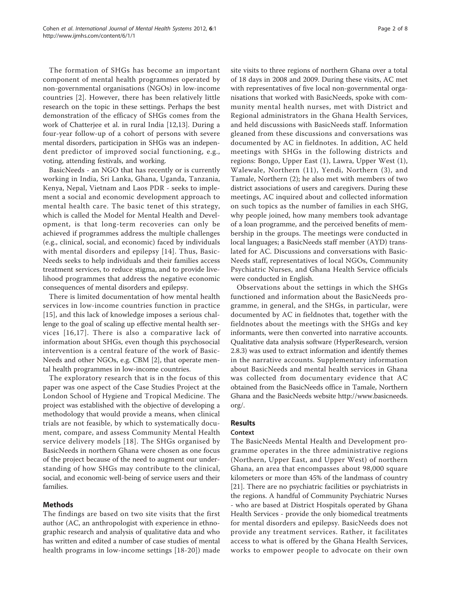The formation of SHGs has become an important component of mental health programmes operated by non-governmental organisations (NGOs) in low-income countries [\[2\]](#page-7-0). However, there has been relatively little research on the topic in these settings. Perhaps the best demonstration of the efficacy of SHGs comes from the work of Chatterjee et al. in rural India [\[12,13](#page-7-0)]. During a four-year follow-up of a cohort of persons with severe mental disorders, participation in SHGs was an independent predictor of improved social functioning, e.g., voting, attending festivals, and working.

BasicNeeds - an NGO that has recently or is currently working in India, Sri Lanka, Ghana, Uganda, Tanzania, Kenya, Nepal, Vietnam and Laos PDR - seeks to implement a social and economic development approach to mental health care. The basic tenet of this strategy, which is called the Model for Mental Health and Development, is that long-term recoveries can only be achieved if programmes address the multiple challenges (e.g., clinical, social, and economic) faced by individuals with mental disorders and epilepsy [[14](#page-7-0)]. Thus, Basic-Needs seeks to help individuals and their families access treatment services, to reduce stigma, and to provide livelihood programmes that address the negative economic consequences of mental disorders and epilepsy.

There is limited documentation of how mental health services in low-income countries function in practice [[15](#page-7-0)], and this lack of knowledge imposes a serious challenge to the goal of scaling up effective mental health services [[16](#page-7-0),[17](#page-7-0)]. There is also a comparative lack of information about SHGs, even though this psychosocial intervention is a central feature of the work of Basic-Needs and other NGOs, e.g. CBM [\[2\]](#page-7-0), that operate mental health programmes in low-income countries.

The exploratory research that is in the focus of this paper was one aspect of the Case Studies Project at the London School of Hygiene and Tropical Medicine. The project was established with the objective of developing a methodology that would provide a means, when clinical trials are not feasible, by which to systematically document, compare, and assess Community Mental Health service delivery models [[18\]](#page-7-0). The SHGs organised by BasicNeeds in northern Ghana were chosen as one focus of the project because of the need to augment our understanding of how SHGs may contribute to the clinical, social, and economic well-being of service users and their families.

# Methods

The findings are based on two site visits that the first author (AC, an anthropologist with experience in ethnographic research and analysis of qualitative data and who has written and edited a number of case studies of mental health programs in low-income settings [[18-20\]](#page-7-0)) made site visits to three regions of northern Ghana over a total of 18 days in 2008 and 2009. During these visits, AC met with representatives of five local non-governmental organisations that worked with BasicNeeds, spoke with community mental health nurses, met with District and Regional administrators in the Ghana Health Services, and held discussions with BasicNeeds staff. Information gleaned from these discussions and conversations was documented by AC in fieldnotes. In addition, AC held meetings with SHGs in the following districts and regions: Bongo, Upper East (1), Lawra, Upper West (1), Walewale, Northern (11), Yendi, Northern (3), and Tamale, Northern (2); he also met with members of two district associations of users and caregivers. During these meetings, AC inquired about and collected information on such topics as the number of families in each SHG, why people joined, how many members took advantage of a loan programme, and the perceived benefits of membership in the groups. The meetings were conducted in local languages; a BasicNeeds staff member (AYD) translated for AC. Discussions and conversations with Basic-Needs staff, representatives of local NGOs, Community Psychiatric Nurses, and Ghana Health Service officials were conducted in English.

Observations about the settings in which the SHGs functioned and information about the BasicNeeds programme, in general, and the SHGs, in particular, were documented by AC in fieldnotes that, together with the fieldnotes about the meetings with the SHGs and key informants, were then converted into narrative accounts. Qualitative data analysis software (HyperResearch, version 2.8.3) was used to extract information and identify themes in the narrative accounts. Supplementary information about BasicNeeds and mental health services in Ghana was collected from documentary evidence that AC obtained from the BasicNeeds office in Tamale, Northern Ghana and the BasicNeeds website [http://www.basicneeds.](http://www.basicneeds.org/) [org/](http://www.basicneeds.org/).

# Results

# **Context**

The BasicNeeds Mental Health and Development programme operates in the three administrative regions (Northern, Upper East, and Upper West) of northern Ghana, an area that encompasses about 98,000 square kilometers or more than 45% of the landmass of country [[21\]](#page-7-0). There are no psychiatric facilities or psychiatrists in the regions. A handful of Community Psychiatric Nurses - who are based at District Hospitals operated by Ghana Health Services - provide the only biomedical treatments for mental disorders and epilepsy. BasicNeeds does not provide any treatment services. Rather, it facilitates access to what is offered by the Ghana Health Services, works to empower people to advocate on their own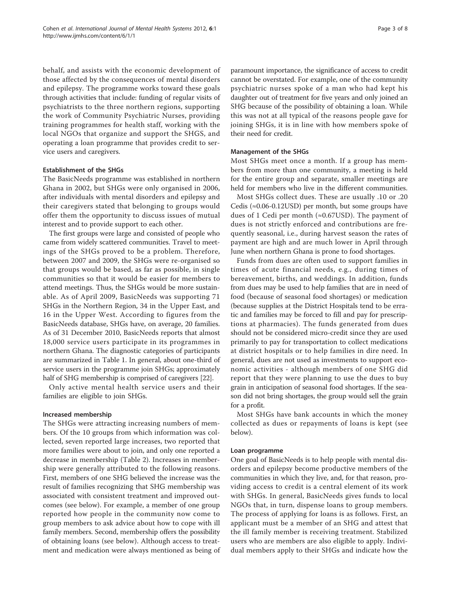behalf, and assists with the economic development of those affected by the consequences of mental disorders and epilepsy. The programme works toward these goals through activities that include: funding of regular visits of psychiatrists to the three northern regions, supporting the work of Community Psychiatric Nurses, providing training programmes for health staff, working with the local NGOs that organize and support the SHGS, and operating a loan programme that provides credit to service users and caregivers.

# Establishment of the SHGs

The BasicNeeds programme was established in northern Ghana in 2002, but SHGs were only organised in 2006, after individuals with mental disorders and epilepsy and their caregivers stated that belonging to groups would offer them the opportunity to discuss issues of mutual interest and to provide support to each other.

The first groups were large and consisted of people who came from widely scattered communities. Travel to meetings of the SHGs proved to be a problem. Therefore, between 2007 and 2009, the SHGs were re-organised so that groups would be based, as far as possible, in single communities so that it would be easier for members to attend meetings. Thus, the SHGs would be more sustainable. As of April 2009, BasicNeeds was supporting 71 SHGs in the Northern Region, 34 in the Upper East, and 16 in the Upper West. According to figures from the BasicNeeds database, SHGs have, on average, 20 families. As of 31 December 2010, BasicNeeds reports that almost 18,000 service users participate in its programmes in northern Ghana. The diagnostic categories of participants are summarized in Table [1](#page-3-0). In general, about one-third of service users in the programme join SHGs; approximately half of SHG membership is comprised of caregivers [[22](#page-7-0)].

Only active mental health service users and their families are eligible to join SHGs.

# Increased membership

The SHGs were attracting increasing numbers of members. Of the 10 groups from which information was collected, seven reported large increases, two reported that more families were about to join, and only one reported a decrease in membership (Table [2](#page-3-0)). Increases in membership were generally attributed to the following reasons. First, members of one SHG believed the increase was the result of families recognizing that SHG membership was associated with consistent treatment and improved outcomes (see below). For example, a member of one group reported how people in the community now come to group members to ask advice about how to cope with ill family members. Second, membership offers the possibility of obtaining loans (see below). Although access to treatment and medication were always mentioned as being of paramount importance, the significance of access to credit cannot be overstated. For example, one of the community psychiatric nurses spoke of a man who had kept his daughter out of treatment for five years and only joined an SHG because of the possibility of obtaining a loan. While this was not at all typical of the reasons people gave for joining SHGs, it is in line with how members spoke of their need for credit.

# Management of the SHGs

Most SHGs meet once a month. If a group has members from more than one community, a meeting is held for the entire group and separate, smaller meetings are held for members who live in the different communities.

Most SHGs collect dues. These are usually .10 or .20 Cedis ( $\approx 0.06$ -0.12USD) per month, but some groups have dues of 1 Cedi per month ( $\approx 0.67$ USD). The payment of dues is not strictly enforced and contributions are frequently seasonal, i.e., during harvest season the rates of payment are high and are much lower in April through June when northern Ghana is prone to food shortages.

Funds from dues are often used to support families in times of acute financial needs, e.g., during times of bereavement, births, and weddings. In addition, funds from dues may be used to help families that are in need of food (because of seasonal food shortages) or medication (because supplies at the District Hospitals tend to be erratic and families may be forced to fill and pay for prescriptions at pharmacies). The funds generated from dues should not be considered micro-credit since they are used primarily to pay for transportation to collect medications at district hospitals or to help families in dire need. In general, dues are not used as investments to support economic activities - although members of one SHG did report that they were planning to use the dues to buy grain in anticipation of seasonal food shortages. If the season did not bring shortages, the group would sell the grain for a profit.

Most SHGs have bank accounts in which the money collected as dues or repayments of loans is kept (see below).

# Loan programme

One goal of BasicNeeds is to help people with mental disorders and epilepsy become productive members of the communities in which they live, and, for that reason, providing access to credit is a central element of its work with SHGs. In general, BasicNeeds gives funds to local NGOs that, in turn, dispense loans to group members. The process of applying for loans is as follows. First, an applicant must be a member of an SHG and attest that the ill family member is receiving treatment. Stabilized users who are members are also eligible to apply. Individual members apply to their SHGs and indicate how the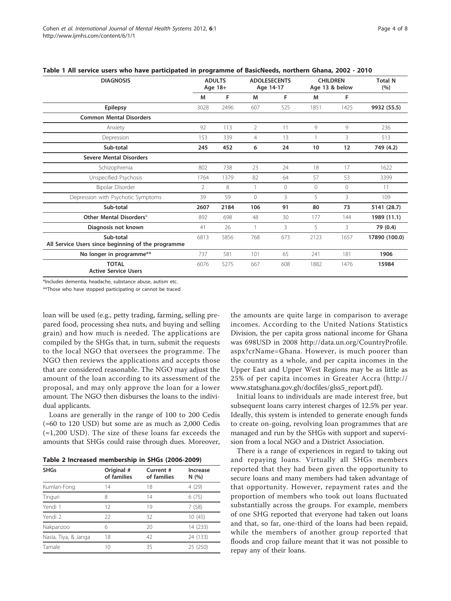| <b>DIAGNOSIS</b>                                                | <b>ADULTS</b><br>Age 18+ |      | <b>ADOLESECENTS</b><br>Age 14-17 |         | <b>CHILDREN</b><br>Age 13 & below |         | <b>Total N</b><br>(%) |
|-----------------------------------------------------------------|--------------------------|------|----------------------------------|---------|-----------------------------------|---------|-----------------------|
|                                                                 | M                        | F    | M                                | F       | M                                 | F       |                       |
| <b>Epilepsy</b>                                                 | 3028                     | 2496 | 607                              | 525     | 1851                              | 1425    | 9932 (55.5)           |
| <b>Common Mental Disorders</b>                                  |                          |      |                                  |         |                                   |         |                       |
| Anxiety                                                         | 92                       | 113  | $\overline{2}$                   | 11      | 9                                 | 9       | 236                   |
| Depression                                                      | 153                      | 339  | $\overline{4}$                   | 13      |                                   | 3       | 513                   |
| Sub-total                                                       | 245                      | 452  | 6                                | 24      | 10                                | 12      | 749 (4.2)             |
| <b>Severe Mental Disorders</b>                                  |                          |      |                                  |         |                                   |         |                       |
| Schizophrenia                                                   | 802                      | 738  | 23                               | 24      | 18                                | 17      | 1622                  |
| Unspecified Psychosis                                           | 1764                     | 1379 | 82                               | 64      | 57                                | 53      | 3399                  |
| Bipolar Disorder                                                | $\mathcal{P}$            | 8    |                                  | $\circ$ | 0                                 | $\circ$ | 11                    |
| Depression with Psychotic Symptoms                              | 39                       | 59   | $\Omega$                         | 3       | 5                                 | 3       | 109                   |
| Sub-total                                                       | 2607                     | 2184 | 106                              | 91      | 80                                | 73      | 5141 (28.7)           |
| Other Mental Disorders*                                         | 892                      | 698  | 48                               | 30      | 177                               | 144     | 1989 (11.1)           |
| Diagnosis not known                                             | 41                       | 26   |                                  | 3       | 5.                                | 3       | 79 (0.4)              |
| Sub-total<br>All Service Users since beginning of the programme | 6813                     | 5856 | 768                              | 673     | 2123                              | 1657    | 17890 (100.0)         |
| No longer in programme**                                        | 737                      | 581  | 101                              | 65      | 241                               | 181     | 1906                  |
| <b>TOTAL</b><br><b>Active Service Users</b>                     | 6076                     | 5275 | 667                              | 608     | 1882                              | 1476    | 15984                 |

<span id="page-3-0"></span>Table 1 All service users who have participated in programme of BasicNeeds, northern Ghana, 2002 - 2010

\*Includes dementia, headache, substance abuse, autism etc.

\*\*Those who have stopped participating or cannot be traced

loan will be used (e.g., petty trading, farming, selling prepared food, processing shea nuts, and buying and selling grain) and how much is needed. The applications are compiled by the SHGs that, in turn, submit the requests to the local NGO that oversees the programme. The NGO then reviews the applications and accepts those that are considered reasonable. The NGO may adjust the amount of the loan according to its assessment of the proposal, and may only approve the loan for a lower amount. The NGO then disburses the loans to the individual applicants.

Loans are generally in the range of 100 to 200 Cedis (≈60 to 120 USD) but some are as much as 2,000 Cedis  $\approx 1,200$  USD). The size of these loans far exceeds the amounts that SHGs could raise through dues. Moreover,

|  |  | Table 2 Increased membership in SHGs (2006-2009) |
|--|--|--------------------------------------------------|
|--|--|--------------------------------------------------|

| <b>SHGs</b>          | Original #<br>of families | Current #<br>of families | Increase<br>N(%) |
|----------------------|---------------------------|--------------------------|------------------|
| Kumlan-Fong          | 14                        | 18                       | 4(29)            |
| Tinguri              | 8                         | 14                       | 6(75)            |
| Yendi 1              | 12                        | 19                       | 7(58)            |
| Yendi 2              | 22                        | 32                       | 10(45)           |
| Nakpanzoo            | 6                         | 20                       | 14 (233)         |
| Nasia, Tiya, & Janga | 18                        | 42                       | 24 (133)         |
| Tamale               | 10                        | 35                       | 25 (250)         |

the amounts are quite large in comparison to average incomes. According to the United Nations Statistics Division, the per capita gross national income for Ghana was 698USD in 2008 [http://data.un.org/CountryProfile.](http://data.un.org/CountryProfile.aspx?crName=Ghana) [aspx?crName=Ghana](http://data.un.org/CountryProfile.aspx?crName=Ghana). However, is much poorer than the country as a whole, and per capita incomes in the Upper East and Upper West Regions may be as little as 25% of per capita incomes in Greater Accra ([http://](http://www.statsghana.gov.gh/docfiles/glss5_report.pdf) [www.statsghana.gov.gh/docfiles/glss5\\_report.pdf\)](http://www.statsghana.gov.gh/docfiles/glss5_report.pdf).

Initial loans to individuals are made interest free, but subsequent loans carry interest charges of 12.5% per year. Ideally, this system is intended to generate enough funds to create on-going, revolving loan programmes that are managed and run by the SHGs with support and supervision from a local NGO and a District Association.

There is a range of experiences in regard to taking out and repaying loans. Virtually all SHGs members reported that they had been given the opportunity to secure loans and many members had taken advantage of that opportunity. However, repayment rates and the proportion of members who took out loans fluctuated substantially across the groups. For example, members of one SHG reported that everyone had taken out loans and that, so far, one-third of the loans had been repaid, while the members of another group reported that floods and crop failure meant that it was not possible to repay any of their loans.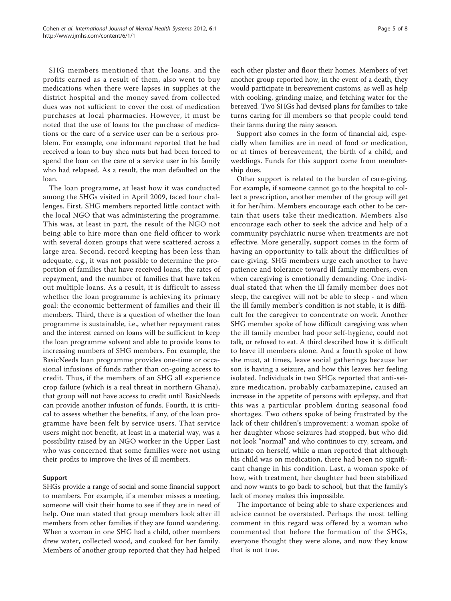SHG members mentioned that the loans, and the profits earned as a result of them, also went to buy medications when there were lapses in supplies at the district hospital and the money saved from collected dues was not sufficient to cover the cost of medication purchases at local pharmacies. However, it must be noted that the use of loans for the purchase of medications or the care of a service user can be a serious problem. For example, one informant reported that he had received a loan to buy shea nuts but had been forced to spend the loan on the care of a service user in his family who had relapsed. As a result, the man defaulted on the loan.

The loan programme, at least how it was conducted among the SHGs visited in April 2009, faced four challenges. First, SHG members reported little contact with the local NGO that was administering the programme. This was, at least in part, the result of the NGO not being able to hire more than one field officer to work with several dozen groups that were scattered across a large area. Second, record keeping has been less than adequate, e.g., it was not possible to determine the proportion of families that have received loans, the rates of repayment, and the number of families that have taken out multiple loans. As a result, it is difficult to assess whether the loan programme is achieving its primary goal: the economic betterment of families and their ill members. Third, there is a question of whether the loan programme is sustainable, i.e., whether repayment rates and the interest earned on loans will be sufficient to keep the loan programme solvent and able to provide loans to increasing numbers of SHG members. For example, the BasicNeeds loan programme provides one-time or occasional infusions of funds rather than on-going access to credit. Thus, if the members of an SHG all experience crop failure (which is a real threat in northern Ghana), that group will not have access to credit until BasicNeeds can provide another infusion of funds. Fourth, it is critical to assess whether the benefits, if any, of the loan programme have been felt by service users. That service users might not benefit, at least in a material way, was a possibility raised by an NGO worker in the Upper East who was concerned that some families were not using their profits to improve the lives of ill members.

# Support

SHGs provide a range of social and some financial support to members. For example, if a member misses a meeting, someone will visit their home to see if they are in need of help. One man stated that group members look after ill members from other families if they are found wandering. When a woman in one SHG had a child, other members drew water, collected wood, and cooked for her family. Members of another group reported that they had helped each other plaster and floor their homes. Members of yet another group reported how, in the event of a death, they would participate in bereavement customs, as well as help with cooking, grinding maize, and fetching water for the bereaved. Two SHGs had devised plans for families to take turns caring for ill members so that people could tend their farms during the rainy season.

Support also comes in the form of financial aid, especially when families are in need of food or medication, or at times of bereavement, the birth of a child, and weddings. Funds for this support come from membership dues.

Other support is related to the burden of care-giving. For example, if someone cannot go to the hospital to collect a prescription, another member of the group will get it for her/him. Members encourage each other to be certain that users take their medication. Members also encourage each other to seek the advice and help of a community psychiatric nurse when treatments are not effective. More generally, support comes in the form of having an opportunity to talk about the difficulties of care-giving. SHG members urge each another to have patience and tolerance toward ill family members, even when caregiving is emotionally demanding. One individual stated that when the ill family member does not sleep, the caregiver will not be able to sleep - and when the ill family member's condition is not stable, it is difficult for the caregiver to concentrate on work. Another SHG member spoke of how difficult caregiving was when the ill family member had poor self-hygiene, could not talk, or refused to eat. A third described how it is difficult to leave ill members alone. And a fourth spoke of how she must, at times, leave social gatherings because her son is having a seizure, and how this leaves her feeling isolated. Individuals in two SHGs reported that anti-seizure medication, probably carbamazepine, caused an increase in the appetite of persons with epilepsy, and that this was a particular problem during seasonal food shortages. Two others spoke of being frustrated by the lack of their children's improvement: a woman spoke of her daughter whose seizures had stopped, but who did not look "normal" and who continues to cry, scream, and urinate on herself, while a man reported that although his child was on medication, there had been no significant change in his condition. Last, a woman spoke of how, with treatment, her daughter had been stabilized and now wants to go back to school, but that the family's lack of money makes this impossible.

The importance of being able to share experiences and advice cannot be overstated. Perhaps the most telling comment in this regard was offered by a woman who commented that before the formation of the SHGs, everyone thought they were alone, and now they know that is not true.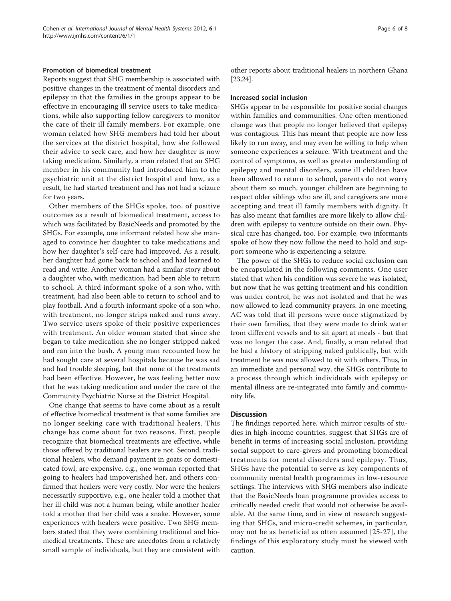### Promotion of biomedical treatment

Reports suggest that SHG membership is associated with positive changes in the treatment of mental disorders and epilepsy in that the families in the groups appear to be effective in encouraging ill service users to take medications, while also supporting fellow caregivers to monitor the care of their ill family members. For example, one woman related how SHG members had told her about the services at the district hospital, how she followed their advice to seek care, and how her daughter is now taking medication. Similarly, a man related that an SHG member in his community had introduced him to the psychiatric unit at the district hospital and how, as a result, he had started treatment and has not had a seizure for two years.

Other members of the SHGs spoke, too, of positive outcomes as a result of biomedical treatment, access to which was facilitated by BasicNeeds and promoted by the SHGs. For example, one informant related how she managed to convince her daughter to take medications and how her daughter's self-care had improved. As a result, her daughter had gone back to school and had learned to read and write. Another woman had a similar story about a daughter who, with medication, had been able to return to school. A third informant spoke of a son who, with treatment, had also been able to return to school and to play football. And a fourth informant spoke of a son who, with treatment, no longer strips naked and runs away. Two service users spoke of their positive experiences with treatment. An older woman stated that since she began to take medication she no longer stripped naked and ran into the bush. A young man recounted how he had sought care at several hospitals because he was sad and had trouble sleeping, but that none of the treatments had been effective. However, he was feeling better now that he was taking medication and under the care of the Community Psychiatric Nurse at the District Hospital.

One change that seems to have come about as a result of effective biomedical treatment is that some families are no longer seeking care with traditional healers. This change has come about for two reasons. First, people recognize that biomedical treatments are effective, while those offered by traditional healers are not. Second, traditional healers, who demand payment in goats or domesticated fowl, are expensive, e.g., one woman reported that going to healers had impoverished her, and others confirmed that healers were very costly. Nor were the healers necessarily supportive, e.g., one healer told a mother that her ill child was not a human being, while another healer told a mother that her child was a snake. However, some experiences with healers were positive. Two SHG members stated that they were combining traditional and biomedical treatments. These are anecdotes from a relatively small sample of individuals, but they are consistent with other reports about traditional healers in northern Ghana [[23,24\]](#page-7-0).

#### Increased social inclusion

SHGs appear to be responsible for positive social changes within families and communities. One often mentioned change was that people no longer believed that epilepsy was contagious. This has meant that people are now less likely to run away, and may even be willing to help when someone experiences a seizure. With treatment and the control of symptoms, as well as greater understanding of epilepsy and mental disorders, some ill children have been allowed to return to school, parents do not worry about them so much, younger children are beginning to respect older siblings who are ill, and caregivers are more accepting and treat ill family members with dignity. It has also meant that families are more likely to allow children with epilepsy to venture outside on their own. Physical care has changed, too. For example, two informants spoke of how they now follow the need to hold and support someone who is experiencing a seizure.

The power of the SHGs to reduce social exclusion can be encapsulated in the following comments. One user stated that when his condition was severe he was isolated, but now that he was getting treatment and his condition was under control, he was not isolated and that he was now allowed to lead community prayers. In one meeting, AC was told that ill persons were once stigmatized by their own families, that they were made to drink water from different vessels and to sit apart at meals - but that was no longer the case. And, finally, a man related that he had a history of stripping naked publically, but with treatment he was now allowed to sit with others. Thus, in an immediate and personal way, the SHGs contribute to a process through which individuals with epilepsy or mental illness are re-integrated into family and community life.

#### **Discussion**

The findings reported here, which mirror results of studies in high-income countries, suggest that SHGs are of benefit in terms of increasing social inclusion, providing social support to care-givers and promoting biomedical treatments for mental disorders and epilepsy. Thus, SHGs have the potential to serve as key components of community mental health programmes in low-resource settings. The interviews with SHG members also indicate that the BasicNeeds loan programme provides access to critically needed credit that would not otherwise be available. At the same time, and in view of research suggesting that SHGs, and micro-credit schemes, in particular, may not be as beneficial as often assumed [[25](#page-7-0)-[27](#page-7-0)], the findings of this exploratory study must be viewed with caution.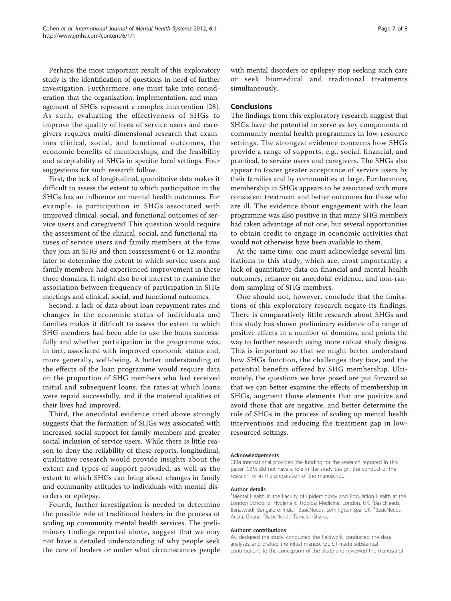Perhaps the most important result of this exploratory study is the identification of questions in need of further investigation. Furthermore, one must take into consideration that the organisation, implementation, and management of SHGs represent a complex intervention [\[28](#page-7-0)]. As such, evaluating the effectiveness of SHGs to improve the quality of lives of service users and caregivers requires multi-dimensional research that examines clinical, social, and functional outcomes, the economic benefits of memberships, and the feasibility and acceptability of SHGs in specific local settings. Four suggestions for such research follow.

First, the lack of longitudinal, quantitative data makes it difficult to assess the extent to which participation in the SHGs has an influence on mental health outcomes. For example, is participation in SHGs associated with improved clinical, social, and functional outcomes of service users and caregivers? This question would require the assessment of the clinical, social, and functional statuses of service users and family members at the time they join an SHG and then reassessment 6 or 12 months later to determine the extent to which service users and family members had experienced improvement in these three domains. It might also be of interest to examine the association between frequency of participation in SHG meetings and clinical, social, and functional outcomes.

Second, a lack of data about loan repayment rates and changes in the economic status of individuals and families makes it difficult to assess the extent to which SHG members had been able to use the loans successfully and whether participation in the programme was, in fact, associated with improved economic status and, more generally, well-being. A better understanding of the effects of the loan programme would require data on the proportion of SHG members who had received initial and subsequent loans, the rates at which loans were repaid successfully, and if the material qualities of their lives had improved.

Third, the anecdotal evidence cited above strongly suggests that the formation of SHGs was associated with increased social support for family members and greater social inclusion of service users. While there is little reason to deny the reliability of these reports, longitudinal, qualitative research would provide insights about the extent and types of support provided, as well as the extent to which SHGs can bring about changes in family and community attitudes to individuals with mental disorders or epilepsy.

Fourth, further investigation is needed to determine the possible role of traditional healers in the process of scaling up community mental health services. The preliminary findings reported above, suggest that we may not have a detailed understanding of why people seek the care of healers or under what circumstances people with mental disorders or epilepsy stop seeking such care or seek biomedical and traditional treatments simultaneously.

# Conclusions

The findings from this exploratory research suggest that SHGs have the potential to serve as key components of community mental health programmes in low-resource settings. The strongest evidence concerns how SHGs provide a range of supports, e.g., social, financial, and practical, to service users and caregivers. The SHGs also appear to foster greater acceptance of service users by their families and by communities at large. Furthermore, membership in SHGs appears to be associated with more consistent treatment and better outcomes for those who are ill. The evidence about engagement with the loan programme was also positive in that many SHG members had taken advantage of not one, but several opportunities to obtain credit to engage in economic activities that would not otherwise have been available to them.

At the same time, one must acknowledge several limitations to this study, which are, most importantly: a lack of quantitative data on financial and mental health outcomes, reliance on anecdotal evidence, and non-random sampling of SHG members.

One should not, however, conclude that the limitations of this exploratory research negate its findings. There is comparatively little research about SHGs and this study has shown preliminary evidence of a range of positive effects in a number of domains, and points the way to further research using more robust study designs. This is important so that we might better understand how SHGs function, the challenges they face, and the potential benefits offered by SHG membership. Ultimately, the questions we have posed are put forward so that we can better examine the effects of membership in SHGs, augment those elements that are positive and avoid those that are negative, and better determine the role of SHGs in the process of scaling up mental health interventions and reducing the treatment gap in lowresourced settings.

#### Acknowledgements

CBM International provided the funding for the research reported in this paper. CBM did not have a role in the study design, the conduct of the research, or in the preparation of the manuscript.

#### Author details

<sup>1</sup>Mental Health in the Faculty of Epidemiology and Population Health at the London School of Hygiene & Tropical Medicine, London, UK. <sup>2</sup>BasicNeeds Banaswadi, Bangalore, India. <sup>3</sup>BasicNeeds, Lemington Spa, UK. <sup>4</sup>BasicNeeds Accra, Ghana. <sup>5</sup> BasicNeeds, Tamale, Ghana.

#### Authors' contributions

AC designed the study, conducted the fieldwork, conducted the data analyses, and drafted the initial manuscript. SR made substantial contributions to the conception of the study and reviewed the manuscript